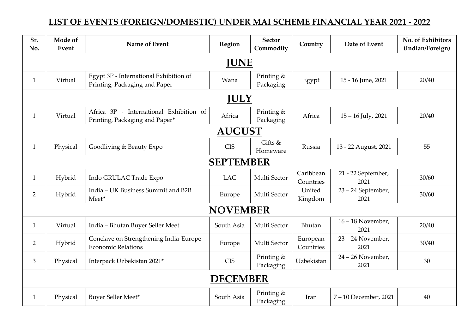## **LIST OF EVENTS (FOREIGN/DOMESTIC) UNDER MAI SCHEME FINANCIAL YEAR 2021 - 2022**

| Sr.<br>No.       | Mode of<br>Event | Name of Event                                                             | Region     | <b>Sector</b><br>Commodity | Country                | Date of Event               | No. of Exhibitors<br>(Indian/Foreign) |  |  |  |  |
|------------------|------------------|---------------------------------------------------------------------------|------------|----------------------------|------------------------|-----------------------------|---------------------------------------|--|--|--|--|
| <b>JUNE</b>      |                  |                                                                           |            |                            |                        |                             |                                       |  |  |  |  |
| $\mathbf{1}$     | Virtual          | Egypt 3P - International Exhibition of<br>Printing, Packaging and Paper   | Wana       | Printing &<br>Packaging    | Egypt                  | 15 - 16 June, 2021          | 20/40                                 |  |  |  |  |
| <b>JULY</b>      |                  |                                                                           |            |                            |                        |                             |                                       |  |  |  |  |
| 1                | Virtual          | Africa 3P - International Exhibition of<br>Printing, Packaging and Paper* | Africa     | Printing &<br>Packaging    | Africa                 | $15 - 16$ July, 2021        | 20/40                                 |  |  |  |  |
| <b>AUGUST</b>    |                  |                                                                           |            |                            |                        |                             |                                       |  |  |  |  |
| $\mathbf{1}$     | Physical         | Goodliving & Beauty Expo                                                  | <b>CIS</b> | Gifts &<br>Homeware        | Russia                 | 13 - 22 August, 2021        | 55                                    |  |  |  |  |
| <b>SEPTEMBER</b> |                  |                                                                           |            |                            |                        |                             |                                       |  |  |  |  |
| $\mathbf{1}$     | Hybrid           | Indo GRULAC Trade Expo                                                    | <b>LAC</b> | Multi Sector               | Caribbean<br>Countries | 21 - 22 September,<br>2021  | 30/60                                 |  |  |  |  |
| $\overline{2}$   | Hybrid           | India - UK Business Summit and B2B<br>Meet*                               | Europe     | Multi Sector               | United<br>Kingdom      | 23 - 24 September,<br>2021  | 30/60                                 |  |  |  |  |
| <b>NOVEMBER</b>  |                  |                                                                           |            |                            |                        |                             |                                       |  |  |  |  |
| 1                | Virtual          | India - Bhutan Buyer Seller Meet                                          | South Asia | Multi Sector               | Bhutan                 | $16 - 18$ November,<br>2021 | 20/40                                 |  |  |  |  |
| $\overline{2}$   | Hybrid           | Conclave on Strengthening India-Europe<br><b>Economic Relations</b>       | Europe     | Multi Sector               | European<br>Countries  | $23 - 24$ November,<br>2021 | 30/40                                 |  |  |  |  |
| 3                | Physical         | Interpack Uzbekistan 2021*                                                | <b>CIS</b> | Printing &<br>Packaging    | Uzbekistan             | $24 - 26$ November,<br>2021 | 30                                    |  |  |  |  |
| <b>DECEMBER</b>  |                  |                                                                           |            |                            |                        |                             |                                       |  |  |  |  |
| $\mathbf{1}$     | Physical         | Buyer Seller Meet*                                                        | South Asia | Printing &<br>Packaging    | Iran                   | 7-10 December, 2021         | 40                                    |  |  |  |  |